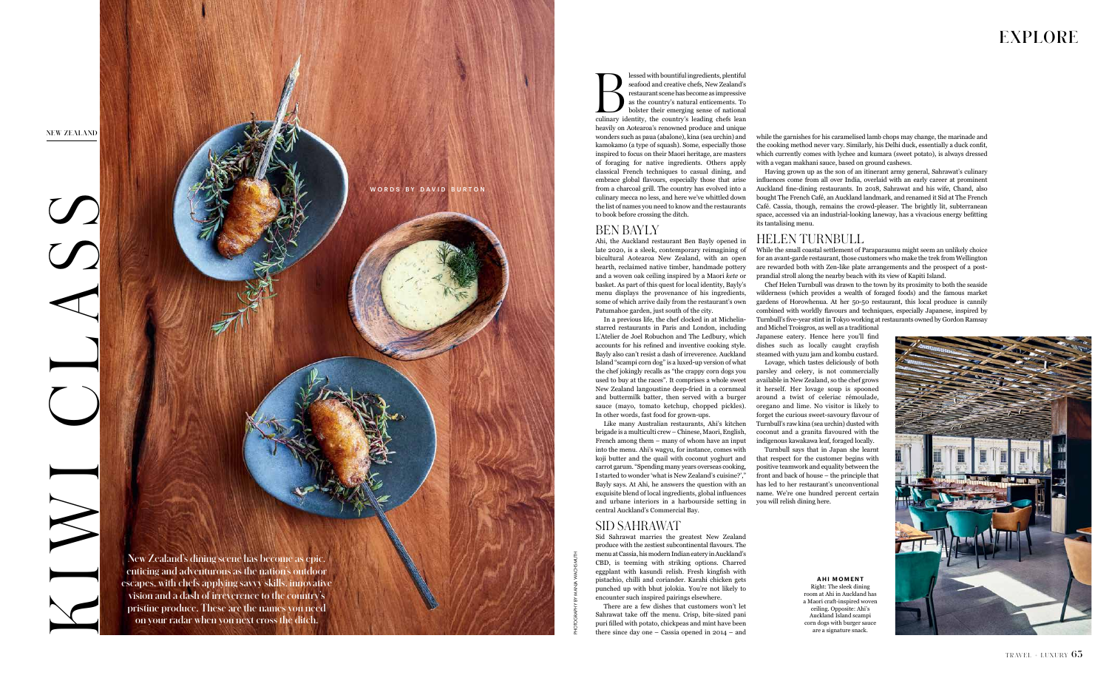lessed with bountiful ingredients, plentiful seafood and creative chefs, New Zealand's restaurant scene has become as impressive as the country's natural enticements. To bolster their emerging sense of national culinary id lessed with bountiful ingredients, plentiful seafood and creative chefs, New Zealand's restaurant scene has become as impressive as the country's natural enticements. To bolster their emerging sense of national heavily on Aotearoa's renowned produce and unique wonders such as paua (abalone), kina (sea urchin) and kamokamo (a type of squash). Some, especially those inspired to focus on their Maori heritage, are masters of foraging for native ingredients. Others apply classical French techniques to casual dining, and embrace global flavours, especially those that arise from a charcoal grill. The country has evolved into a culinary mecca no less, and here we've whittled down the list of names you need to know and the restaurants

to book before crossing the ditch.

#### BEN BAYLY

Ahi, the Auckland restaurant Ben Bayly opened in late 2020, is a sleek, contemporary reimagining of bicultural Aotearoa New Zealand, with an open hearth, reclaimed native timber, handmade pottery and a woven oak ceiling inspired by a Maori *kete* or basket. As part of this quest for local identity, Bayly's menu displays the provenance of his ingredients, some of which arrive daily from the restaurant's own Patumahoe garden, just south of the city.

In a previous life, the chef clocked in at Michelinstarred restaurants in Paris and London, including L'Atelier de Joel Robuchon and The Ledbury, which accounts for his refined and inventive cooking style. Bayly also can't resist a dash of irreverence. Auckland Island "scampi corn dog" is a luxed-up version of what the chef jokingly recalls as "the crappy corn dogs you used to buy at the races". It comprises a whole sweet New Zealand langoustine deep-fried in a cornmeal and buttermilk batter, then served with a burger sauce (mayo, tomato ketchup, chopped pickles).

In other words, fast food for grown-ups.

Like many Australian restaurants, Ahi's kitchen brigade is a multiculti crew – Chinese, Maori, English, French among them – many of whom have an input into the menu. Ahi's wagyu, for instance, comes with koji butter and the quail with coconut yoghurt and carrot garum. "Spending many years overseas cooking, I started to wonder 'what is New Zealand's cuisine?'," Bayly says. At Ahi, he answers the question with an exquisite blend of local ingredients, global influences and urbane interiors in a harbourside setting in you will relish dining here. central Auckland's Commercial Bay.

### SID SAHRAWAT

Sid Sahrawat marries the greatest New Zealand produce with the zestiest subcontinental flavours. The menu at Cassia, his modern Indian eatery in Auckland's CBD, is teeming with striking options. Charred eggplant with kasundi relish. Fresh kingfish with pistachio, chilli and coriander. Karahi chicken gets punched up with bhut jolokia. You're not likely to encounter such inspired pairings elsewhere.



There are a few dishes that customers won't let Sahrawat take off the menu. Crisp, bite-sized pani puri filled with potato, chickpeas and mint have been there since day one – Cassia opened in 2014 – and

#### **AHI MOMENT** Right: The sleek dining room at Ahi in Auckland has a Maori craft-inspired woven ceiling. Opposite: Ahi's Auckland Island scampi corn dogs with burger sauce are a signature snack.



while the garnishes for his caramelised lamb chops may change, the marinade and the cooking method never vary. Similarly, his Delhi duck, essentially a duck confit, which currently comes with lychee and kumara (sweet potato), is always dressed with a vegan makhani sauce, based on ground cashews.

Having grown up as the son of an itinerant army general, Sahrawat's culinary influences come from all over India, overlaid with an early career at prominent Auckland fine-dining restaurants. In 2018, Sahrawat and his wife, Chand, also bought The French Café, an Auckland landmark, and renamed it Sid at The French Café. Cassia, though, remains the crowd-pleaser. The brightly lit, subterranean space, accessed via an industrial-looking laneway, has a vivacious energy befitting its tantalising menu.

#### HELEN TURNBULL

While the small coastal settlement of Paraparaumu might seem an unlikely choice for an avant-garde restaurant, those customers who make the trek from Wellington are rewarded both with Zen-like plate arrangements and the prospect of a postprandial stroll along the nearby beach with its view of Kapiti Island.

Chef Helen Turnbull was drawn to the town by its proximity to both the seaside wilderness (which provides a wealth of foraged foods) and the famous market gardens of Horowhenua. At her 50-50 restaurant, this local produce is cannily combined with worldly flavours and techniques, especially Japanese, inspired by Turnbull's five-year stint in Tokyo working at restaurants owned by Gordon Ramsay

and Michel Troisgros, as well as a traditional Japanese eatery. Hence here you'll find dishes such as locally caught crayfish steamed with yuzu jam and kombu custard.

Lovage, which tastes deliciously of both parsley and celery, is not commercially available in New Zealand, so the chef grows it herself. Her lovage soup is spooned around a twist of celeriac rémoulade, oregano and lime. No visitor is likely to forget the curious sweet-savoury flavour of Turnbull's raw kina (sea urchin) dusted with coconut and a granita flavoured with the indigenous kawakawa leaf, foraged locally.

Turnbull says that in Japan she learnt that respect for the customer begins with positive teamwork and equality between the front and back of house – the principle that has led to her restaurant's unconventional name. We're one hundred percent certain

# **EXPLORE**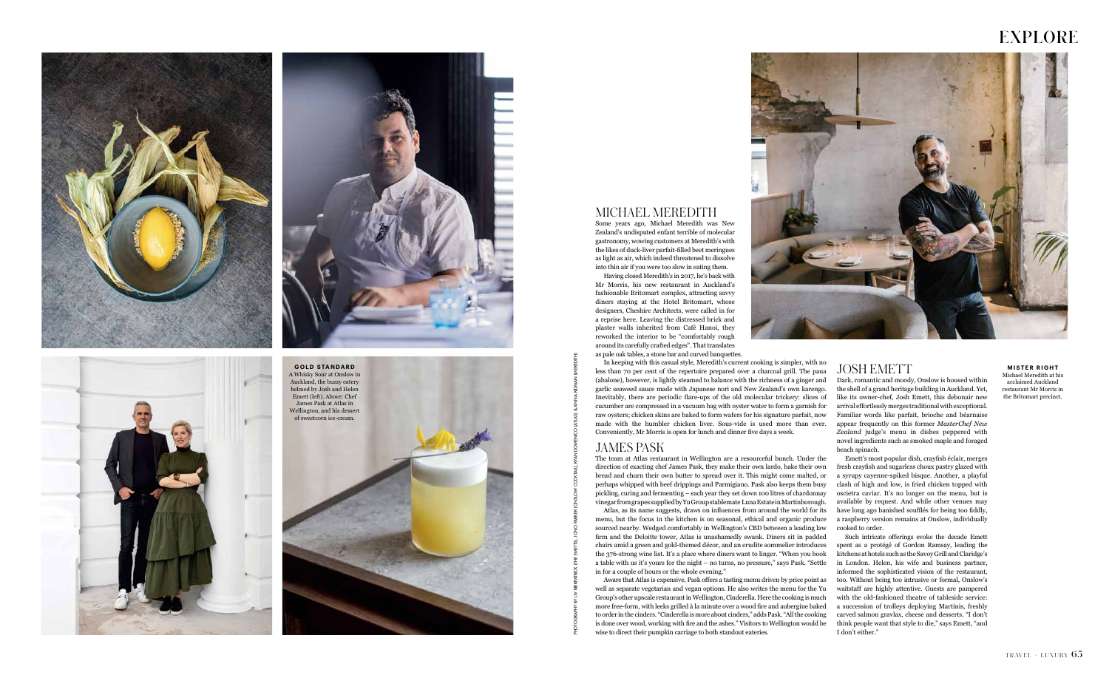







## MICHAEL MEREDITH

Some years ago, Michael Meredith was New Zealand's undisputed enfant terrible of molecular gastronomy, wowing customers at Meredith's with the likes of duck-liver parfait-filled beet meringues as light as air, which indeed threatened to dissolve into thin air if you were too slow in eating them.

Having closed Meredith's in 2017, he's back with Mr Morris, his new restaurant in Auckland's fashionable Britomart complex, attracting savvy diners staying at the Hotel Britomart, whose designers, Cheshire Architects, were called in for a reprise here. Leaving the distressed brick and plaster walls inherited from Café Hanoi, they reworked the interior to be "comfortably rough around its carefully crafted edges". That translates as pale oak tables, a stone bar and curved banquettes.

In keeping with this casual style, Meredith's current cooking is simpler, with no less than 70 per cent of the repertoire prepared over a charcoal grill. The paua (abalone), however, is lightly steamed to balance with the richness of a ginger and garlic seaweed sauce made with Japanese nori and New Zealand's own karengo. Inevitably, there are periodic flare-ups of the old molecular trickery: slices of cucumber are compressed in a vacuum bag with oyster water to form a garnish for raw oysters; chicken skins are baked to form wafers for his signature parfait, now made with the humbler chicken liver. Sous-vide is used more than ever. Conveniently, Mr Morris is open for lunch and dinner five days a week.

## JAMES PASK

The team at Atlas restaurant in Wellington are a resourceful bunch. Under the direction of exacting chef James Pask, they make their own lardo, bake their own bread and churn their own butter to spread over it. This might come malted, or perhaps whipped with beef drippings and Parmigiano. Pask also keeps them busy pickling, curing and fermenting – each year they set down 100 litres of chardonnay vinegar from grapes supplied by Yu Group stablemate Luna Estate in Martinborough. Atlas, as its name suggests, draws on influences from around the world for its menu, but the focus in the kitchen is on seasonal, ethical and organic produce sourced nearby. Wedged comfortably in Wellington's CBD between a leading law firm and the Deloitte tower, Atlas is unashamedly swank. Diners sit in padded chairs amid a green and gold-themed décor, and an erudite sommelier introduces the 376-strong wine list. It's a place where diners want to linger. "When you book a table with us it's yours for the night – no turns, no pressure," says Pask. "Settle in for a couple of hours or the whole evening."

Aware that Atlas is expensive, Pask offers a tasting menu driven by price point as well as separate vegetarian and vegan options. He also writes the menu for the Yu Group's other upscale restaurant in Wellington, Cinderella. Here the cooking is much more free-form, with leeks grilled à la minute over a wood fire and aubergine baked to order in the cinders. "Cinderella is more about cinders," adds Pask. "All the cooking is done over wood, working with fire and the ashes." Visitors to Wellington would be wise to direct their pumpkin carriage to both standout eateries.

#### **MISTER RIGHT** Michael Meredith at his acclaimed Auckland restaurant Mr Morris in the Britomart precinct.

## JOSH EMETT

Dark, romantic and moody, Onslow is housed within the shell of a grand heritage building in Auckland. Yet, like its owner-chef, Josh Emett, this debonair new arrival effortlessly merges traditional with exceptional. Familiar words like parfait, brioche and béarnaise appear frequently on this former *MasterChef New Zealand* judge's menu in dishes peppered with novel ingredients such as smoked maple and foraged beach spinach.

Emett's most popular dish, crayfish éclair, merges fresh crayfish and sugarless choux pastry glazed with a syrupy cayenne-spiked bisque. Another, a playful clash of high and low, is fried chicken topped with oscietra caviar. It's no longer on the menu, but is available by request. And while other venues may have long ago banished soufflés for being too fiddly, a raspberry version remains at Onslow, individually cooked to order.

Such intricate offerings evoke the decade Emett spent as a protégé of Gordon Ramsay, leading the kitchens at hotels such as the Savoy Grill and Claridge's in London. Helen, his wife and business partner, informed the sophisticated vision of the restaurant, too. Without being too intrusive or formal, Onslow's waitstaff are highly attentive. Guests are pampered with the old-fashioned theatre of tableside service: a succession of trolleys deploying Martinis, freshly carved salmon gravlax, cheese and desserts. "I don't think people want that style to die," says Emett, "and I don't either."

PHOTOGRAPHY BY LIV KIRKPATRICK (THE EMETTS), JONO PARKER (ONSLOW COCKTAIL), RYAN DOMENICO (ATLAS) & ANNA KIDMAN (MEREDITH)

# **EXPLORE**